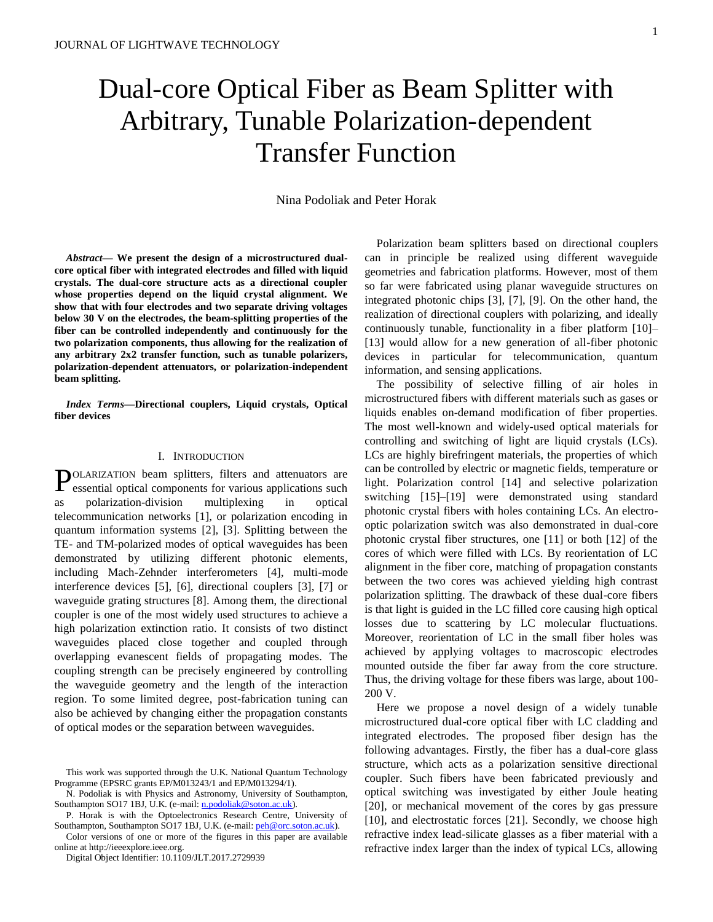# Dual-core Optical Fiber as Beam Splitter with Arbitrary, Tunable Polarization-dependent Transfer Function

Nina Podoliak and Peter Horak

*Abstract***— We present the design of a microstructured dualcore optical fiber with integrated electrodes and filled with liquid crystals. The dual-core structure acts as a directional coupler whose properties depend on the liquid crystal alignment. We show that with four electrodes and two separate driving voltages below 30 V on the electrodes, the beam-splitting properties of the fiber can be controlled independently and continuously for the two polarization components, thus allowing for the realization of any arbitrary 2x2 transfer function, such as tunable polarizers, polarization-dependent attenuators, or polarization-independent beam splitting.**

*Index Terms***—Directional couplers, Liquid crystals, Optical fiber devices**

# I. INTRODUCTION

OLARIZATION beam splitters, filters and attenuators are POLARIZATION beam splitters, filters and attenuators are essential optical components for various applications such as polarization-division multiplexing in optical telecommunication networks [1], or polarization encoding in quantum information systems [2], [3]. Splitting between the TE- and TM-polarized modes of optical waveguides has been demonstrated by utilizing different photonic elements, including Mach-Zehnder interferometers [4], multi-mode interference devices [5], [6], directional couplers [3], [7] or waveguide grating structures [8]. Among them, the directional coupler is one of the most widely used structures to achieve a high polarization extinction ratio. It consists of two distinct waveguides placed close together and coupled through overlapping evanescent fields of propagating modes. The coupling strength can be precisely engineered by controlling the waveguide geometry and the length of the interaction region. To some limited degree, post-fabrication tuning can also be achieved by changing either the propagation constants of optical modes or the separation between waveguides.

Polarization beam splitters based on directional couplers can in principle be realized using different waveguide geometries and fabrication platforms. However, most of them so far were fabricated using planar waveguide structures on integrated photonic chips [3], [7], [9]. On the other hand, the realization of directional couplers with polarizing, and ideally continuously tunable, functionality in a fiber platform [10]– [13] would allow for a new generation of all-fiber photonic devices in particular for telecommunication, quantum information, and sensing applications.

The possibility of selective filling of air holes in microstructured fibers with different materials such as gases or liquids enables on-demand modification of fiber properties. The most well-known and widely-used optical materials for controlling and switching of light are liquid crystals (LCs). LCs are highly birefringent materials, the properties of which can be controlled by electric or magnetic fields, temperature or light. Polarization control [14] and selective polarization switching [15]–[19] were demonstrated using standard photonic crystal fibers with holes containing LCs. An electrooptic polarization switch was also demonstrated in dual-core photonic crystal fiber structures, one [11] or both [12] of the cores of which were filled with LCs. By reorientation of LC alignment in the fiber core, matching of propagation constants between the two cores was achieved yielding high contrast polarization splitting. The drawback of these dual-core fibers is that light is guided in the LC filled core causing high optical losses due to scattering by LC molecular fluctuations. Moreover, reorientation of LC in the small fiber holes was achieved by applying voltages to macroscopic electrodes mounted outside the fiber far away from the core structure. Thus, the driving voltage for these fibers was large, about 100- 200 V.

Here we propose a novel design of a widely tunable microstructured dual-core optical fiber with LC cladding and integrated electrodes. The proposed fiber design has the following advantages. Firstly, the fiber has a dual-core glass structure, which acts as a polarization sensitive directional coupler. Such fibers have been fabricated previously and optical switching was investigated by either Joule heating [20], or mechanical movement of the cores by gas pressure [10], and electrostatic forces [21]. Secondly, we choose high refractive index lead-silicate glasses as a fiber material with a refractive index larger than the index of typical LCs, allowing

This work was supported through the U.K. National Quantum Technology Programme (EPSRC grants EP/M013243/1 and EP/M013294/1).

N. Podoliak is with Physics and Astronomy, University of Southampton, Southampton SO17 1BJ, U.K. (e-mail[: n.podoliak@soton.ac.uk\)](mailto:n.podoliak@soton.ac.uk).

P. Horak is with the Optoelectronics Research Centre, University of Southampton, Southampton SO17 1BJ, U.K. (e-mail[: peh@orc.soton.ac.uk\)](mailto:peh@orc.soton.ac.uk).

Color versions of one or more of the figures in this paper are available online at http://ieeexplore.ieee.org.

Digital Object Identifier: 10.1109/JLT.2017.2729939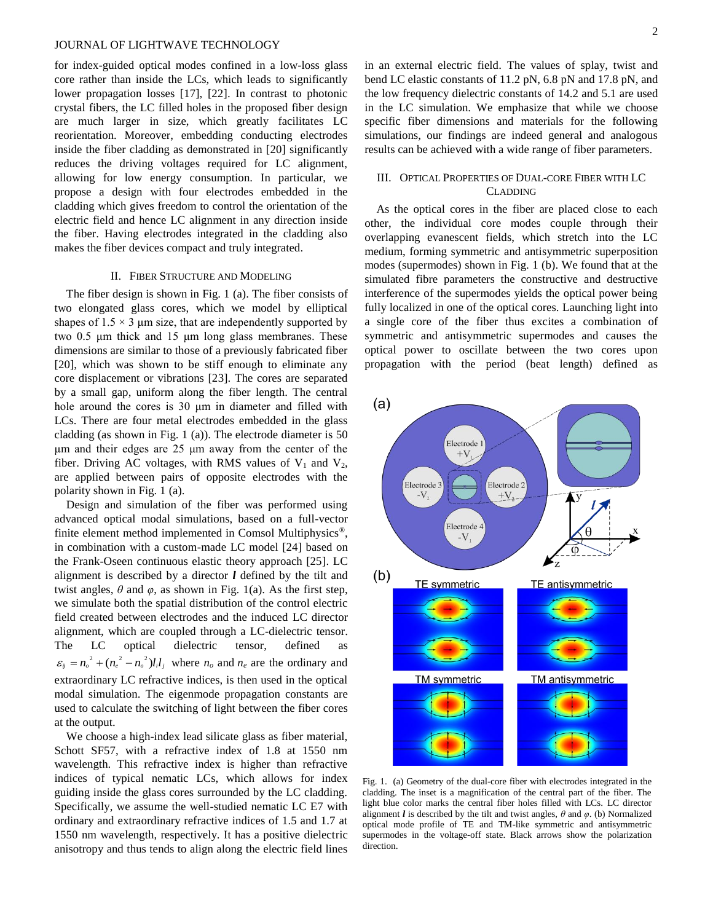## JOURNAL OF LIGHTWAVE TECHNOLOGY

for index-guided optical modes confined in a low-loss glass core rather than inside the LCs, which leads to significantly lower propagation losses [17], [22]. In contrast to photonic crystal fibers, the LC filled holes in the proposed fiber design are much larger in size, which greatly facilitates LC reorientation. Moreover, embedding conducting electrodes inside the fiber cladding as demonstrated in [20] significantly reduces the driving voltages required for LC alignment, allowing for low energy consumption. In particular, we propose a design with four electrodes embedded in the cladding which gives freedom to control the orientation of the electric field and hence LC alignment in any direction inside the fiber. Having electrodes integrated in the cladding also makes the fiber devices compact and truly integrated.

## II. FIBER STRUCTURE AND MODELING

The fiber design is shown in Fig. 1 (a). The fiber consists of two elongated glass cores, which we model by elliptical shapes of  $1.5 \times 3$  µm size, that are independently supported by two 0.5 μm thick and 15 μm long glass membranes. These dimensions are similar to those of a previously fabricated fiber [20], which was shown to be stiff enough to eliminate any core displacement or vibrations [23]. The cores are separated by a small gap, uniform along the fiber length. The central hole around the cores is 30 μm in diameter and filled with LCs. There are four metal electrodes embedded in the glass cladding (as shown in Fig. 1 (a)). The electrode diameter is 50 μm and their edges are 25 μm away from the center of the fiber. Driving AC voltages, with RMS values of  $V_1$  and  $V_2$ , are applied between pairs of opposite electrodes with the polarity shown in Fig. 1 (a).

Design and simulation of the fiber was performed using advanced optical modal simulations, based on a full-vector finite element method implemented in Comsol Multiphysics®, in combination with a custom-made LC model [24] based on the Frank-Oseen continuous elastic theory approach [25]. LC alignment is described by a director *l* defined by the tilt and twist angles,  $\theta$  and  $\varphi$ , as shown in Fig. 1(a). As the first step, we simulate both the spatial distribution of the control electric field created between electrodes and the induced LC director alignment, which are coupled through a LC-dielectric tensor. The LC optical dielectric tensor, defined as  $\varepsilon_{ij} = n_o^2 + (n_e^2 - n_o^2)l_i l_j$  where  $n_o$  and  $n_e$  are the ordinary and extraordinary LC refractive indices, is then used in the optical modal simulation. The eigenmode propagation constants are used to calculate the switching of light between the fiber cores at the output.

We choose a high-index lead silicate glass as fiber material, Schott SF57, with a refractive index of 1.8 at 1550 nm wavelength. This refractive index is higher than refractive indices of typical nematic LCs, which allows for index guiding inside the glass cores surrounded by the LC cladding. Specifically, we assume the well-studied nematic LC E7 with ordinary and extraordinary refractive indices of 1.5 and 1.7 at 1550 nm wavelength, respectively. It has a positive dielectric anisotropy and thus tends to align along the electric field lines in an external electric field. The values of splay, twist and bend LC elastic constants of 11.2 pN, 6.8 pN and 17.8 pN, and the low frequency dielectric constants of 14.2 and 5.1 are used in the LC simulation. We emphasize that while we choose specific fiber dimensions and materials for the following simulations, our findings are indeed general and analogous results can be achieved with a wide range of fiber parameters.

## III. OPTICAL PROPERTIES OF DUAL-CORE FIBER WITH LC **CLADDING**

As the optical cores in the fiber are placed close to each other, the individual core modes couple through their overlapping evanescent fields, which stretch into the LC medium, forming symmetric and antisymmetric superposition modes (supermodes) shown in Fig. 1 (b). We found that at the simulated fibre parameters the constructive and destructive interference of the supermodes yields the optical power being fully localized in one of the optical cores. Launching light into a single core of the fiber thus excites a combination of symmetric and antisymmetric supermodes and causes the optical power to oscillate between the two cores upon propagation with the period (beat length) defined as



Fig. 1. (a) Geometry of the dual-core fiber with electrodes integrated in the cladding. The inset is a magnification of the central part of the fiber. The light blue color marks the central fiber holes filled with LCs. LC director alignment *l* is described by the tilt and twist angles, *θ* and *φ*. (b) Normalized optical mode profile of TE and TM-like symmetric and antisymmetric supermodes in the voltage-off state. Black arrows show the polarization direction.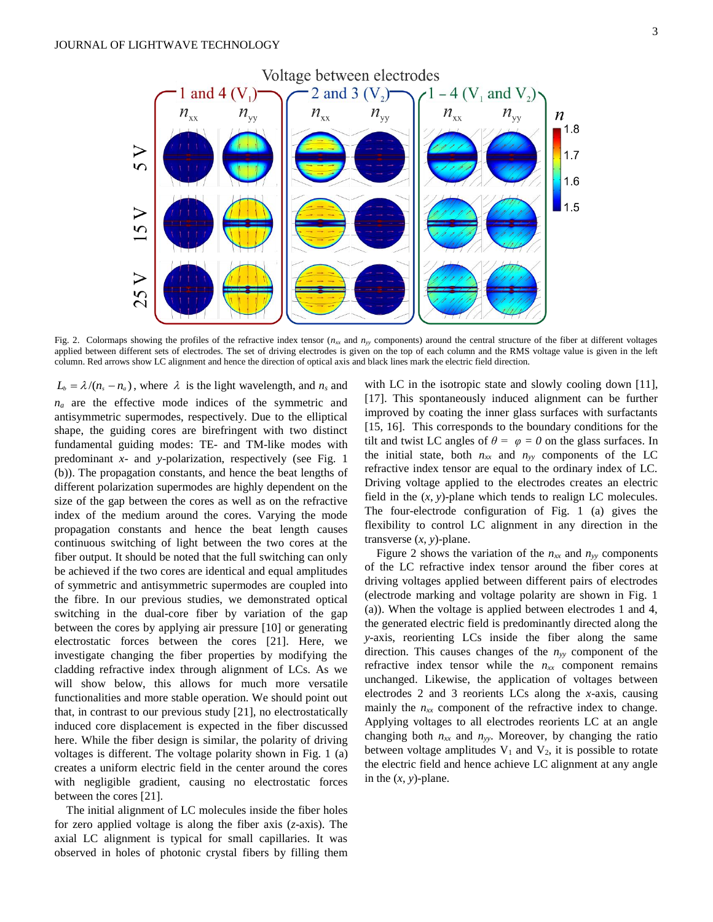

Fig. 2. Colormaps showing the profiles of the refractive index tensor  $(n_{xx}$  and  $n_{yy}$  components) around the central structure of the fiber at different voltages applied between different sets of electrodes. The set of driving electrodes is given on the top of each column and the RMS voltage value is given in the left column. Red arrows show LC alignment and hence the direction of optical axis and black lines mark the electric field direction.

 $L_b = \lambda / (n_s - n_a)$ , where  $\lambda$  is the light wavelength, and  $n_s$  and

*n<sup>a</sup>* are the effective mode indices of the symmetric and antisymmetric supermodes, respectively. Due to the elliptical shape, the guiding cores are birefringent with two distinct fundamental guiding modes: TE- and TM-like modes with predominant *x*- and *y*-polarization, respectively (see Fig. 1 (b)). The propagation constants, and hence the beat lengths of different polarization supermodes are highly dependent on the size of the gap between the cores as well as on the refractive index of the medium around the cores. Varying the mode propagation constants and hence the beat length causes continuous switching of light between the two cores at the fiber output. It should be noted that the full switching can only be achieved if the two cores are identical and equal amplitudes of symmetric and antisymmetric supermodes are coupled into the fibre. In our previous studies, we demonstrated optical switching in the dual-core fiber by variation of the gap between the cores by applying air pressure [10] or generating electrostatic forces between the cores [21]. Here, we investigate changing the fiber properties by modifying the cladding refractive index through alignment of LCs. As we will show below, this allows for much more versatile functionalities and more stable operation. We should point out that, in contrast to our previous study [21], no electrostatically induced core displacement is expected in the fiber discussed here. While the fiber design is similar, the polarity of driving voltages is different. The voltage polarity shown in Fig. 1 (a) creates a uniform electric field in the center around the cores with negligible gradient, causing no electrostatic forces between the cores [21].

The initial alignment of LC molecules inside the fiber holes for zero applied voltage is along the fiber axis (*z*-axis). The axial LC alignment is typical for small capillaries. It was observed in holes of photonic crystal fibers by filling them

with LC in the isotropic state and slowly cooling down [11], [17]. This spontaneously induced alignment can be further improved by coating the inner glass surfaces with surfactants [15, 16]. This corresponds to the boundary conditions for the tilt and twist LC angles of  $\theta = \varphi = 0$  on the glass surfaces. In the initial state, both  $n_{xx}$  and  $n_{yy}$  components of the LC refractive index tensor are equal to the ordinary index of LC. Driving voltage applied to the electrodes creates an electric field in the  $(x, y)$ -plane which tends to realign LC molecules. The four-electrode configuration of Fig. 1 (a) gives the flexibility to control LC alignment in any direction in the transverse (*x*, *y*)-plane.

Figure 2 shows the variation of the  $n_{xx}$  and  $n_{yy}$  components of the LC refractive index tensor around the fiber cores at driving voltages applied between different pairs of electrodes (electrode marking and voltage polarity are shown in Fig. 1 (a)). When the voltage is applied between electrodes 1 and 4, the generated electric field is predominantly directed along the *y*-axis, reorienting LCs inside the fiber along the same direction. This causes changes of the *nyy* component of the refractive index tensor while the  $n_{xx}$  component remains unchanged. Likewise, the application of voltages between electrodes 2 and 3 reorients LCs along the *x*-axis, causing mainly the  $n_{xx}$  component of the refractive index to change. Applying voltages to all electrodes reorients LC at an angle changing both  $n_{xx}$  and  $n_{yy}$ . Moreover, by changing the ratio between voltage amplitudes  $V_1$  and  $V_2$ , it is possible to rotate the electric field and hence achieve LC alignment at any angle in the  $(x, y)$ -plane.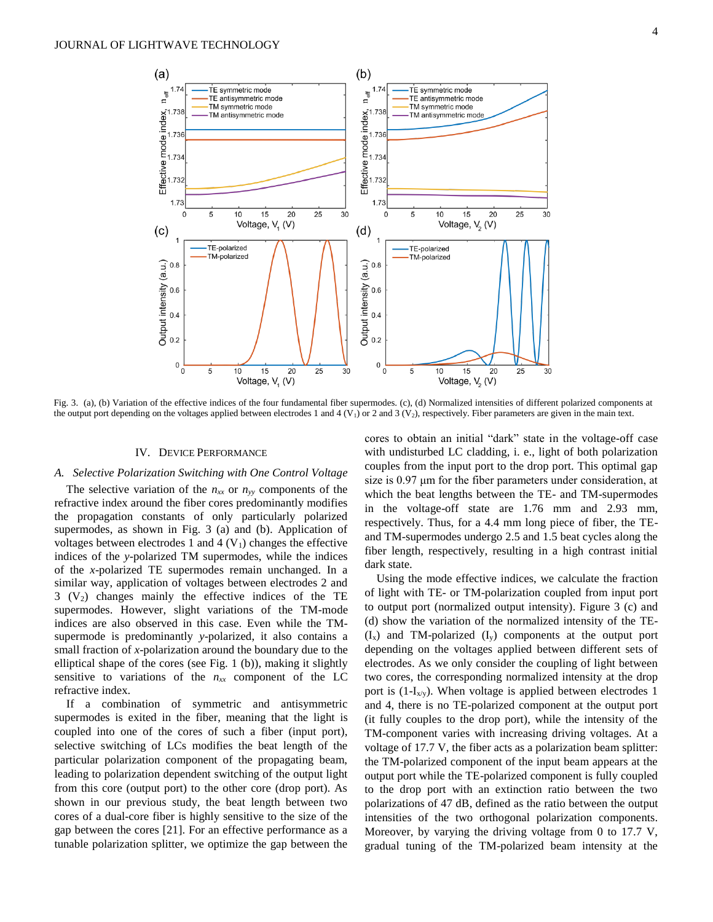

Fig. 3. (a), (b) Variation of the effective indices of the four fundamental fiber supermodes. (c), (d) Normalized intensities of different polarized components at the output port depending on the voltages applied between electrodes 1 and 4 (V<sub>1</sub>) or 2 and 3 (V<sub>2</sub>), respectively. Fiber parameters are given in the main text.

#### IV. DEVICE PERFORMANCE

## *A. Selective Polarization Switching with One Control Voltage*

The selective variation of the  $n_{xx}$  or  $n_{yy}$  components of the refractive index around the fiber cores predominantly modifies the propagation constants of only particularly polarized supermodes, as shown in Fig. 3 (a) and (b). Application of voltages between electrodes 1 and 4  $(V_1)$  changes the effective indices of the *y*-polarized TM supermodes, while the indices of the *x*-polarized TE supermodes remain unchanged. In a similar way, application of voltages between electrodes 2 and  $3 (V_2)$  changes mainly the effective indices of the TE supermodes. However, slight variations of the TM-mode indices are also observed in this case. Even while the TMsupermode is predominantly *y*-polarized, it also contains a small fraction of *x*-polarization around the boundary due to the elliptical shape of the cores (see Fig. 1 (b)), making it slightly sensitive to variations of the  $n_{xx}$  component of the LC refractive index.

If a combination of symmetric and antisymmetric supermodes is exited in the fiber, meaning that the light is coupled into one of the cores of such a fiber (input port), selective switching of LCs modifies the beat length of the particular polarization component of the propagating beam, leading to polarization dependent switching of the output light from this core (output port) to the other core (drop port). As shown in our previous study, the beat length between two cores of a dual-core fiber is highly sensitive to the size of the gap between the cores [21]. For an effective performance as a tunable polarization splitter, we optimize the gap between the

cores to obtain an initial "dark" state in the voltage-off case with undisturbed LC cladding, i. e., light of both polarization couples from the input port to the drop port. This optimal gap size is 0.97 μm for the fiber parameters under consideration, at which the beat lengths between the TE- and TM-supermodes in the voltage-off state are 1.76 mm and 2.93 mm, respectively. Thus, for a 4.4 mm long piece of fiber, the TEand TM-supermodes undergo 2.5 and 1.5 beat cycles along the fiber length, respectively, resulting in a high contrast initial dark state.

Using the mode effective indices, we calculate the fraction of light with TE- or TM-polarization coupled from input port to output port (normalized output intensity). Figure 3 (c) and (d) show the variation of the normalized intensity of the TE-  $(I_x)$  and TM-polarized  $(I_y)$  components at the output port depending on the voltages applied between different sets of electrodes. As we only consider the coupling of light between two cores, the corresponding normalized intensity at the drop port is  $(1-I_{x/y})$ . When voltage is applied between electrodes 1 and 4, there is no TE-polarized component at the output port (it fully couples to the drop port), while the intensity of the TM-component varies with increasing driving voltages. At a voltage of 17.7 V, the fiber acts as a polarization beam splitter: the TM-polarized component of the input beam appears at the output port while the TE-polarized component is fully coupled to the drop port with an extinction ratio between the two polarizations of 47 dB, defined as the ratio between the output intensities of the two orthogonal polarization components. Moreover, by varying the driving voltage from 0 to 17.7 V, gradual tuning of the TM-polarized beam intensity at the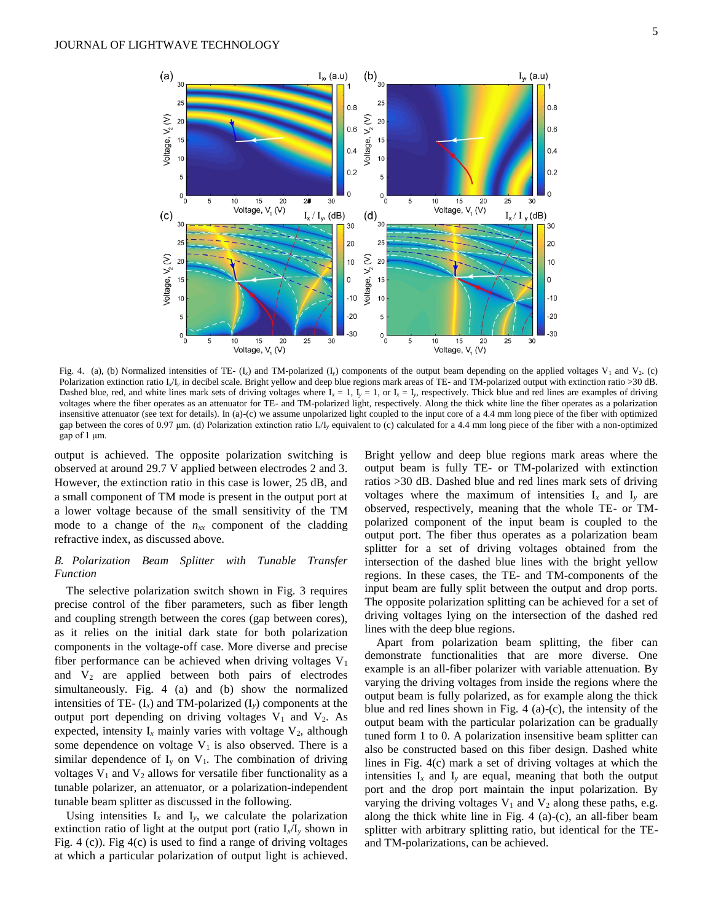

Fig. 4. (a), (b) Normalized intensities of TE-  $(I_x)$  and TM-polarized  $(I_y)$  components of the output beam depending on the applied voltages  $V_1$  and  $V_2$ . (c) Polarization extinction ratio I*x*/I*<sup>y</sup>* in decibel scale. Bright yellow and deep blue regions mark areas of TE- and TM-polarized output with extinction ratio >30 dB. Dashed blue, red, and white lines mark sets of driving voltages where  $I_x = 1$ ,  $I_y = 1$ , or  $I_x = I_y$ , respectively. Thick blue and red lines are examples of driving voltages where the fiber operates as an attenuator for TE- and TM-polarized light, respectively. Along the thick white line the fiber operates as a polarization insensitive attenuator (see text for details). In (a)-(c) we assume unpolarized light coupled to the input core of a 4.4 mm long piece of the fiber with optimized gap between the cores of 0.97 μm. (d) Polarization extinction ratio I*x*/I*<sup>y</sup>* equivalent to (c) calculated for a 4.4 mm long piece of the fiber with a non-optimized gap of 1 μm.

output is achieved. The opposite polarization switching is observed at around 29.7 V applied between electrodes 2 and 3. However, the extinction ratio in this case is lower, 25 dB, and a small component of TM mode is present in the output port at a lower voltage because of the small sensitivity of the TM mode to a change of the  $n_{xx}$  component of the cladding refractive index, as discussed above.

# *B. Polarization Beam Splitter with Tunable Transfer Function*

The selective polarization switch shown in Fig. 3 requires precise control of the fiber parameters, such as fiber length and coupling strength between the cores (gap between cores), as it relies on the initial dark state for both polarization components in the voltage-off case. More diverse and precise fiber performance can be achieved when driving voltages  $V_1$ and  $V_2$  are applied between both pairs of electrodes simultaneously. Fig. 4 (a) and (b) show the normalized intensities of TE- $(I_x)$  and TM-polarized  $(I_y)$  components at the output port depending on driving voltages  $V_1$  and  $V_2$ . As expected, intensity  $I_x$  mainly varies with voltage  $V_2$ , although some dependence on voltage  $V_1$  is also observed. There is a similar dependence of  $I_v$  on  $V_1$ . The combination of driving voltages  $V_1$  and  $V_2$  allows for versatile fiber functionality as a tunable polarizer, an attenuator, or a polarization-independent tunable beam splitter as discussed in the following.

Using intensities  $I_x$  and  $I_y$ , we calculate the polarization extinction ratio of light at the output port (ratio  $I_x/I_y$  shown in Fig. 4 (c)). Fig  $4(c)$  is used to find a range of driving voltages at which a particular polarization of output light is achieved.

Bright yellow and deep blue regions mark areas where the output beam is fully TE- or TM-polarized with extinction ratios >30 dB. Dashed blue and red lines mark sets of driving voltages where the maximum of intensities  $I_x$  and  $I_y$  are observed, respectively, meaning that the whole TE- or TMpolarized component of the input beam is coupled to the output port. The fiber thus operates as a polarization beam splitter for a set of driving voltages obtained from the intersection of the dashed blue lines with the bright yellow regions. In these cases, the TE- and TM-components of the input beam are fully split between the output and drop ports. The opposite polarization splitting can be achieved for a set of driving voltages lying on the intersection of the dashed red lines with the deep blue regions.

Apart from polarization beam splitting, the fiber can demonstrate functionalities that are more diverse. One example is an all-fiber polarizer with variable attenuation. By varying the driving voltages from inside the regions where the output beam is fully polarized, as for example along the thick blue and red lines shown in Fig. 4 (a)-(c), the intensity of the output beam with the particular polarization can be gradually tuned form 1 to 0. A polarization insensitive beam splitter can also be constructed based on this fiber design. Dashed white lines in Fig. 4(c) mark a set of driving voltages at which the intensities  $I_x$  and  $I_y$  are equal, meaning that both the output port and the drop port maintain the input polarization. By varying the driving voltages  $V_1$  and  $V_2$  along these paths, e.g. along the thick white line in Fig. 4 (a)-(c), an all-fiber beam splitter with arbitrary splitting ratio, but identical for the TEand TM-polarizations, can be achieved.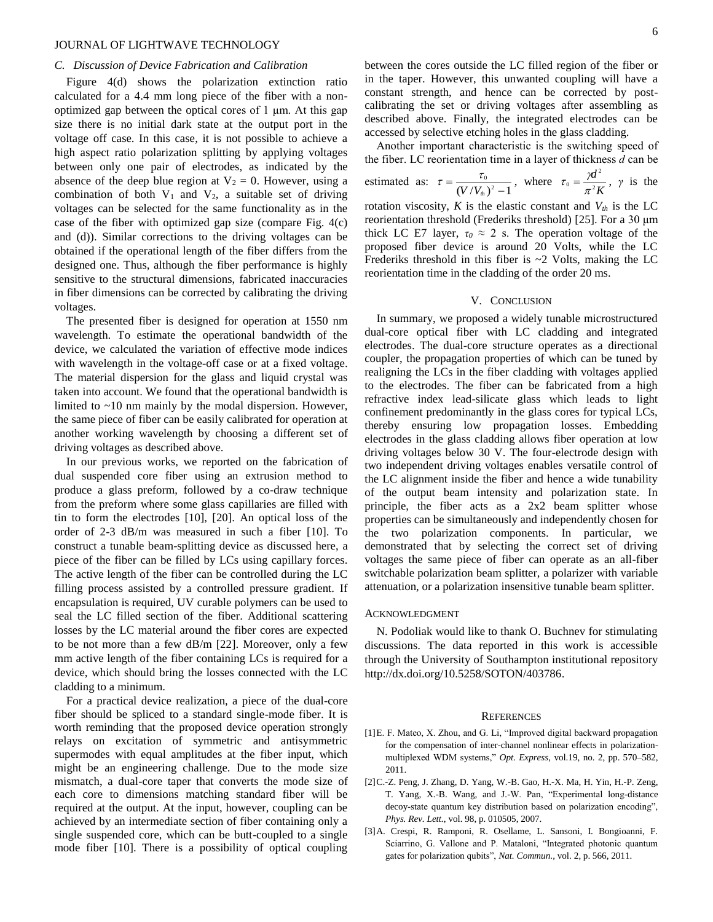#### JOURNAL OF LIGHTWAVE TECHNOLOGY

## *C. Discussion of Device Fabrication and Calibration*

Figure 4(d) shows the polarization extinction ratio calculated for a 4.4 mm long piece of the fiber with a nonoptimized gap between the optical cores of 1 μm. At this gap size there is no initial dark state at the output port in the voltage off case. In this case, it is not possible to achieve a high aspect ratio polarization splitting by applying voltages between only one pair of electrodes, as indicated by the absence of the deep blue region at  $V_2 = 0$ . However, using a combination of both  $V_1$  and  $V_2$ , a suitable set of driving voltages can be selected for the same functionality as in the case of the fiber with optimized gap size (compare Fig. 4(c) and (d)). Similar corrections to the driving voltages can be obtained if the operational length of the fiber differs from the designed one. Thus, although the fiber performance is highly sensitive to the structural dimensions, fabricated inaccuracies in fiber dimensions can be corrected by calibrating the driving voltages.

The presented fiber is designed for operation at 1550 nm wavelength. To estimate the operational bandwidth of the device, we calculated the variation of effective mode indices with wavelength in the voltage-off case or at a fixed voltage. The material dispersion for the glass and liquid crystal was taken into account. We found that the operational bandwidth is limited to ~10 nm mainly by the modal dispersion. However, the same piece of fiber can be easily calibrated for operation at another working wavelength by choosing a different set of driving voltages as described above.

In our previous works, we reported on the fabrication of dual suspended core fiber using an extrusion method to produce a glass preform, followed by a co-draw technique from the preform where some glass capillaries are filled with tin to form the electrodes [10], [20]. An optical loss of the order of 2-3 dB/m was measured in such a fiber [10]. To construct a tunable beam-splitting device as discussed here, a piece of the fiber can be filled by LCs using capillary forces. The active length of the fiber can be controlled during the LC filling process assisted by a controlled pressure gradient. If encapsulation is required, UV curable polymers can be used to seal the LC filled section of the fiber. Additional scattering losses by the LC material around the fiber cores are expected to be not more than a few dB/m [22]. Moreover, only a few mm active length of the fiber containing LCs is required for a device, which should bring the losses connected with the LC cladding to a minimum.

For a practical device realization, a piece of the dual-core fiber should be spliced to a standard single-mode fiber. It is worth reminding that the proposed device operation strongly relays on excitation of symmetric and antisymmetric supermodes with equal amplitudes at the fiber input, which might be an engineering challenge. Due to the mode size mismatch, a dual-core taper that converts the mode size of each core to dimensions matching standard fiber will be required at the output. At the input, however, coupling can be achieved by an intermediate section of fiber containing only a single suspended core, which can be butt-coupled to a single mode fiber [10]. There is a possibility of optical coupling

between the cores outside the LC filled region of the fiber or in the taper. However, this unwanted coupling will have a constant strength, and hence can be corrected by postcalibrating the set or driving voltages after assembling as described above. Finally, the integrated electrodes can be accessed by selective etching holes in the glass cladding.

Another important characteristic is the switching speed of the fiber. LC reorientation time in a layer of thickness *d* can be

estimated as: 
$$
\tau = \frac{\tau_0}{(V/V_m)^2 - 1}
$$
, where  $\tau_0 = \frac{\gamma d^2}{\pi^2 K}$ ,  $\gamma$  is the

rotation viscosity,  $K$  is the elastic constant and  $V_{th}$  is the LC reorientation threshold (Frederiks threshold) [25]. For a 30 μm thick LC E7 layer,  $\tau_0 \approx 2$  s. The operation voltage of the proposed fiber device is around 20 Volts, while the LC Frederiks threshold in this fiber is  $\sim$ 2 Volts, making the LC reorientation time in the cladding of the order 20 ms.

## V. CONCLUSION

In summary, we proposed a widely tunable microstructured dual-core optical fiber with LC cladding and integrated electrodes. The dual-core structure operates as a directional coupler, the propagation properties of which can be tuned by realigning the LCs in the fiber cladding with voltages applied to the electrodes. The fiber can be fabricated from a high refractive index lead-silicate glass which leads to light confinement predominantly in the glass cores for typical LCs, thereby ensuring low propagation losses. Embedding electrodes in the glass cladding allows fiber operation at low driving voltages below 30 V. The four-electrode design with two independent driving voltages enables versatile control of the LC alignment inside the fiber and hence a wide tunability of the output beam intensity and polarization state. In principle, the fiber acts as a 2x2 beam splitter whose properties can be simultaneously and independently chosen for the two polarization components. In particular, we demonstrated that by selecting the correct set of driving voltages the same piece of fiber can operate as an all-fiber switchable polarization beam splitter, a polarizer with variable attenuation, or a polarization insensitive tunable beam splitter.

#### ACKNOWLEDGMENT

N. Podoliak would like to thank O. Buchnev for stimulating discussions. The data reported in this work is accessible through the University of Southampton institutional repository http://dx.doi.org/10.5258/SOTON/403786.

#### **REFERENCES**

- [1]E. F. Mateo, X. Zhou, and G. Li, "Improved digital backward propagation for the compensation of inter-channel nonlinear effects in polarizationmultiplexed WDM systems," *Opt. Express*, vol.19, no. 2, pp. 570–582, 2011.
- [2]C.-Z. Peng, J. Zhang, D. Yang, W.-B. Gao, H.-X. Ma, H. Yin, H.-P. Zeng, T. Yang, X.-B. Wang, and J.-W. Pan, "Experimental long-distance decoy-state quantum key distribution based on polarization encoding", *Phys. Rev. Lett.*, vol. 98, p. 010505, 2007.
- [3]A. Crespi, R. Ramponi, R. Osellame, L. Sansoni, I. Bongioanni, F. Sciarrino, G. Vallone and P. Mataloni, "Integrated photonic quantum gates for polarization qubits", *Nat. Commun.*, vol. 2, p. 566, 2011.